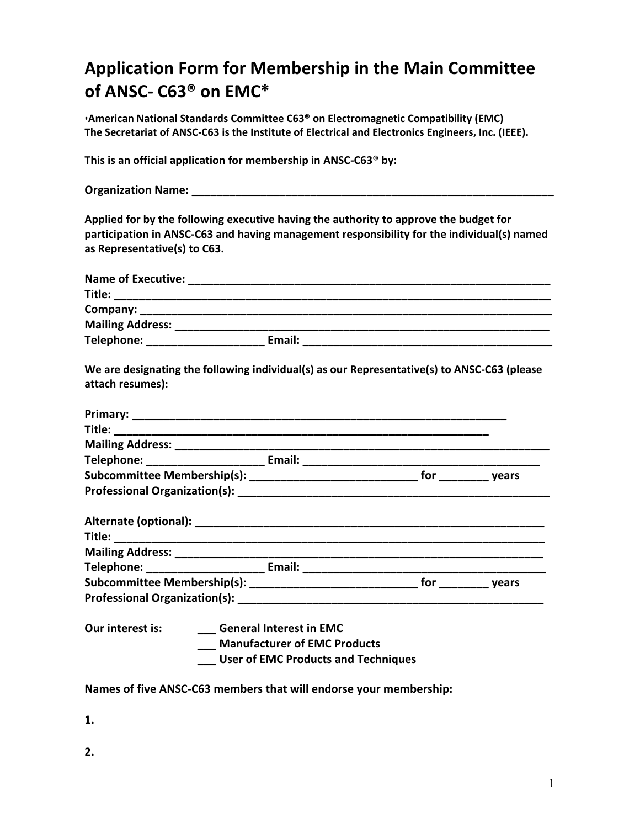## **Application Form for Membership in the Main Committee of ANSC- C63® on EMC\***

**\*American National Standards Committee C63® on Electromagnetic Compatibility (EMC) The Secretariat of ANSC-C63 is the Institute of Electrical and Electronics Engineers, Inc. (IEEE).** 

**This is an official application for membership in ANSC-C63® by:** 

**Organization Name: Community Community Community Community Community Community Community Community Community Community Community Community Community Community Community Community Community Community Community Community** 

**Applied for by the following executive having the authority to approve the budget for participation in ANSC-C63 and having management responsibility for the individual(s) named as Representative(s) to C63.** 

|                  | We are designating the following individual(s) as our Representative(s) to ANSC-C63 (please                         |  |
|------------------|---------------------------------------------------------------------------------------------------------------------|--|
| attach resumes): |                                                                                                                     |  |
|                  |                                                                                                                     |  |
|                  |                                                                                                                     |  |
|                  |                                                                                                                     |  |
|                  |                                                                                                                     |  |
|                  |                                                                                                                     |  |
|                  |                                                                                                                     |  |
|                  |                                                                                                                     |  |
|                  |                                                                                                                     |  |
|                  |                                                                                                                     |  |
|                  |                                                                                                                     |  |
|                  |                                                                                                                     |  |
|                  |                                                                                                                     |  |
| Our interest is: | <b>General Interest in EMC</b><br><b>Manufacturer of EMC Products</b><br><b>User of EMC Products and Techniques</b> |  |

## **Names of five ANSC-C63 members that will endorse your membership:**

**1.** 

**2.**